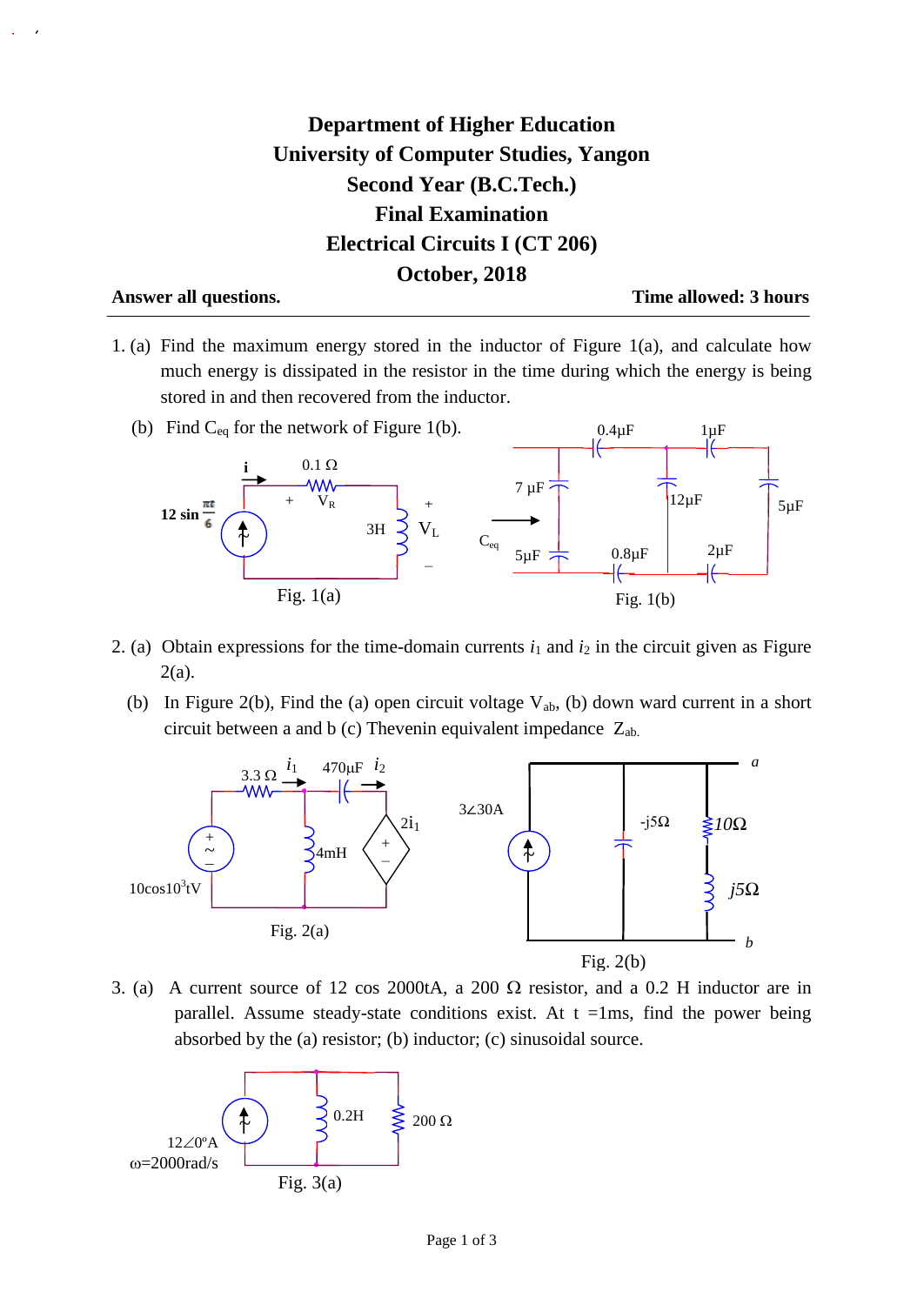## **Department of Higher Education University of Computer Studies, Yangon Second Year (B.C.Tech.) Final Examination Electrical Circuits I (CT 206) October, 2018**

**Answer all questions. Time allowed: 3 hours**

- 1. (a) Find the maximum energy stored in the inductor of Figure 1(a), and calculate how much energy is dissipated in the resistor in the time during which the energy is being stored in and then recovered from the inductor.
	- (b) Find  $C_{eq}$  for the network of Figure 1(b).  $0.4\mu F$  $1 \mu F$  $0.1~\Omega$ **i**  $7 \mu F$  $12\mu$ F  $5\mu$ F  $+$   $V_R$ +  $12 \sin \frac{\pi t}{6}$  $V_{L}$  $\uparrow$  ) 3H  $C_{eq}$   $5\mu F$   $\rightarrow$  0.8 $\mu F$  2 $\mu F$ 0.8µF − ╬ Fig.  $1(a)$ Fig. 1(b)
- 2. (a) Obtain expressions for the time-domain currents  $i_1$  and  $i_2$  in the circuit given as Figure 2(a).
	- (b) In Figure 2(b), Find the (a) open circuit voltage  $V_{ab}$ , (b) down ward current in a short circuit between a and b (c) Thevenin equivalent impedance  $Z_{ab}$ .



3. (a) A current source of 12 cos 2000tA, a 200  $\Omega$  resistor, and a 0.2 H inductor are in parallel. Assume steady-state conditions exist. At  $t = 1$ ms, find the power being absorbed by the (a) resistor; (b) inductor; (c) sinusoidal source.

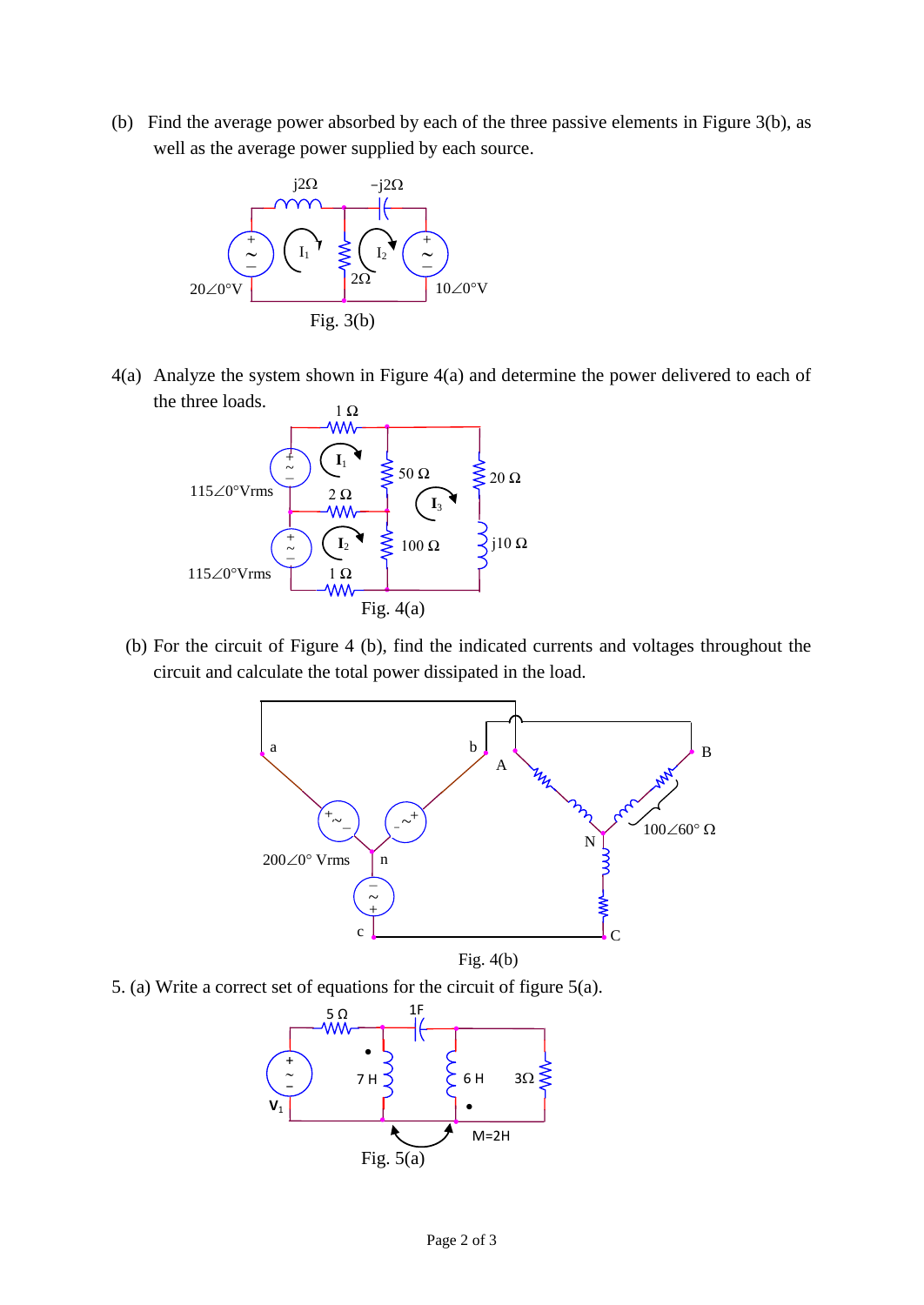(b) Find the average power absorbed by each of the three passive elements in Figure 3(b), as well as the average power supplied by each source.



4(a) Analyze the system shown in Figure 4(a) and determine the power delivered to each of the three loads.



 (b) For the circuit of Figure 4 (b), find the indicated currents and voltages throughout the circuit and calculate the total power dissipated in the load.



5. (a) Write a correct set of equations for the circuit of figure 5(a).